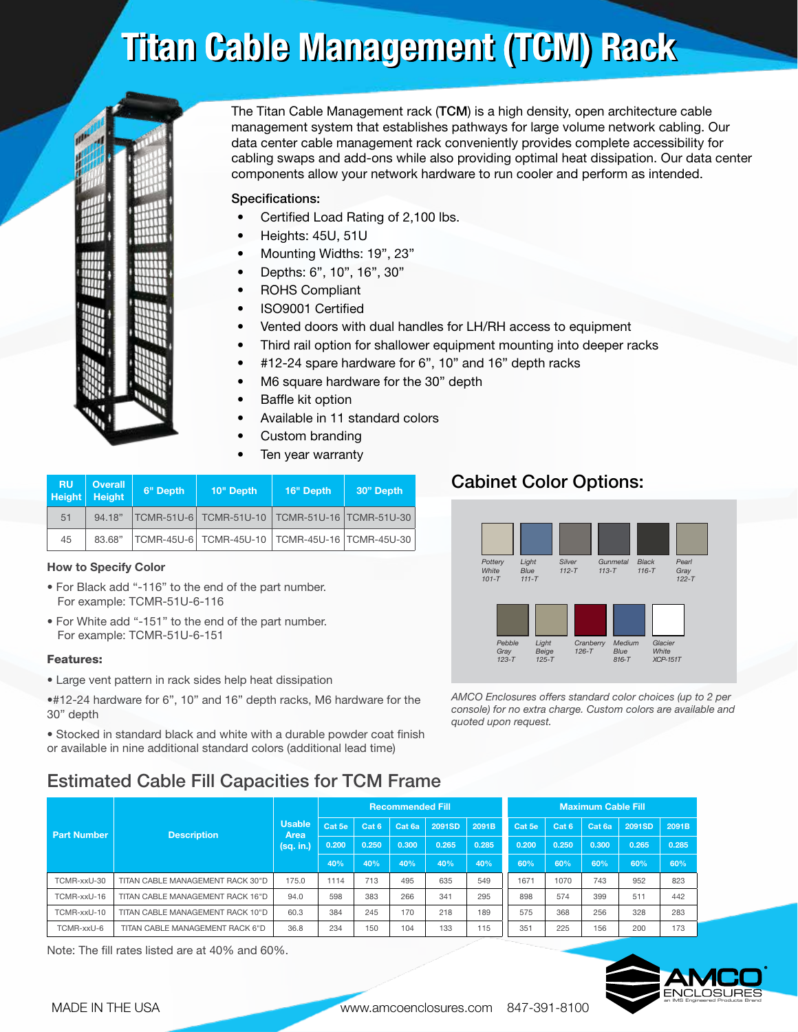# Titan Cable Management (TCM) Rack Titan Cable Management (TCM) Rack



The Titan Cable Management rack (TCM) is a high density, open architecture cable management system that establishes pathways for large volume network cabling. Our data center cable management rack conveniently provides complete accessibility for cabling swaps and add-ons while also providing optimal heat dissipation. Our data center components allow your network hardware to run cooler and perform as intended.

### Specifications:

- Certified Load Rating of 2,100 lbs.
- Heights: 45U, 51U
- Mounting Widths: 19", 23"
- Depths: 6", 10", 16", 30"
- ROHS Compliant
- ISO9001 Certified
- Vented doors with dual handles for LH/RH access to equipment
- Third rail option for shallower equipment mounting into deeper racks
- #12-24 spare hardware for 6", 10" and 16" depth racks
- M6 square hardware for the 30" depth
- Baffle kit option
- Available in 11 standard colors
- Custom branding
- Ten year warranty

| <b>RU</b><br><b>Height</b> | <b>Overall</b><br><b>Height</b> | 6" Depth | 10" Depth                                      | 16" Depth | 30" Depth |  |  |
|----------------------------|---------------------------------|----------|------------------------------------------------|-----------|-----------|--|--|
| 51                         | 94.18"                          |          | TCMR-51U-6 TCMR-51U-10 TCMR-51U-16 TCMR-51U-30 |           |           |  |  |
| 45                         | 83.68"                          |          | TCMR-45U-6 TCMR-45U-10 TCMR-45U-16 TCMR-45U-30 |           |           |  |  |

### How to Specify Color

- For Black add "-116" to the end of the part number. For example: TCMR-51U-6-116
- For White add "-151" to the end of the part number. For example: TCMR-51U-6-151

### Features:

- Large vent pattern in rack sides help heat dissipation
- •#12-24 hardware for 6", 10" and 16" depth racks, M6 hardware for the 30" depth

• Stocked in standard black and white with a durable powder coat finish or available in nine additional standard colors (additional lead time)

# Estimated Cable Fill Capacities for TCM Frame

| <b>Part Number</b> |                                  | <b>Usable</b><br>Area<br>(sq. in.) | <b>Recommended Fill</b> |                  |        |        |       | <b>Maximum Cable Fill</b> |                  |        |        |       |
|--------------------|----------------------------------|------------------------------------|-------------------------|------------------|--------|--------|-------|---------------------------|------------------|--------|--------|-------|
|                    | <b>Description</b>               |                                    | Cat 5e                  | Cat <sub>6</sub> | Cat 6a | 2091SD | 2091B | Cat 5e                    | Cat <sub>6</sub> | Cat 6a | 2091SD | 2091B |
|                    |                                  |                                    | 0.200                   | 0.250            | 0.300  | 0.265  | 0.285 | 0.200                     | 0.250            | 0.300  | 0.265  | 0.285 |
|                    |                                  |                                    | 40%                     | 40%              | 40%    | 40%    | 40%   | 60%                       | 60%              | 60%    | 60%    | 60%   |
| TCMR-xxU-30        | TITAN CABLE MANAGEMENT RACK 30"D | 175.0                              | 1114                    | 713              | 495    | 635    | 549   | 1671                      | 1070             | 743    | 952    | 823   |
| TCMR-xxU-16        | TITAN CABLE MANAGEMENT RACK 16"D | 94.0                               | 598                     | 383              | 266    | 341    | 295   | 898                       | 574              | 399    | 511    | 442   |
| TCMR-xxU-10        | TITAN CABLE MANAGEMENT RACK 10"D | 60.3                               | 384                     | 245              | 170    | 218    | 189   | 575                       | 368              | 256    | 328    | 283   |
| TCMR-xxU-6         | TITAN CABLE MANAGEMENT RACK 6"D  | 36.8                               | 234                     | 150              | 104    | 133    | 115   | 351                       | 225              | 156    | 200    | 173   |

Note: The fill rates listed are at 40% and 60%.

# Cabinet Color Options:



*AMCO Enclosures offers standard color choices (up to 2 per console) for no extra charge. Custom colors are available and quoted upon request.*